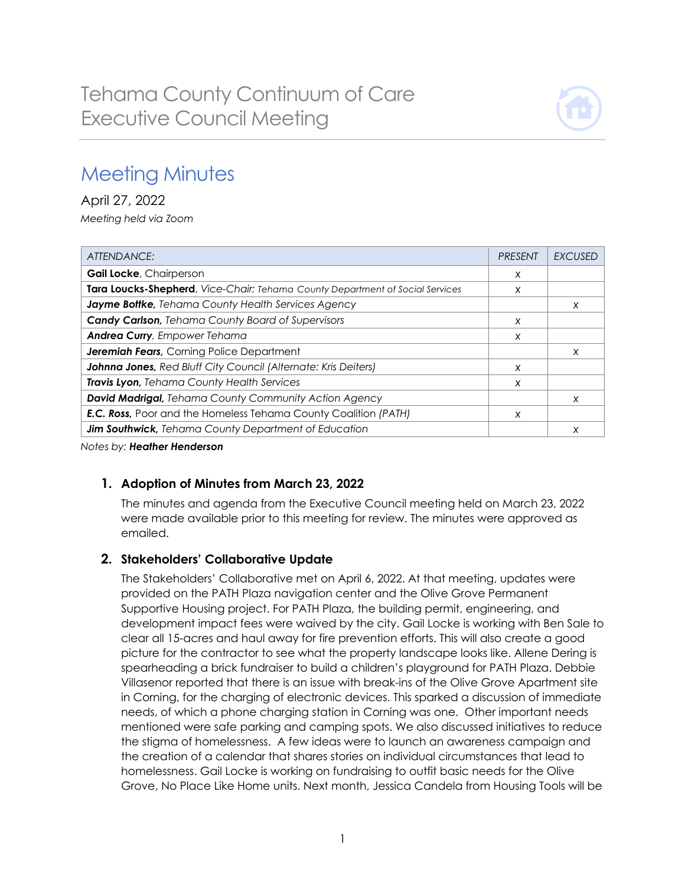

# Meeting Minutes

April 27, 2022 *Meeting held via Zoom*

| ATTENDANCE:                                                                   | <b>PRESENT</b> | EXCUSED |
|-------------------------------------------------------------------------------|----------------|---------|
| Gail Locke, Chairperson                                                       | X              |         |
| Tara Loucks-Shepherd, Vice-Chair; Tehama County Department of Social Services | X              |         |
| Jayme Bottke, Tehama County Health Services Agency                            |                | X       |
| <b>Candy Carlson, Tehama County Board of Supervisors</b>                      | X              |         |
| <b>Andrea Curry, Empower Tehama</b>                                           | X              |         |
| <b>Jeremiah Fears, Corning Police Department</b>                              |                | X       |
| Johnna Jones, Red Bluff City Council (Alternate: Kris Deiters)                | X              |         |
| Travis Lyon, Tehama County Health Services                                    | X              |         |
| David Madrigal, Tehama County Community Action Agency                         |                | X       |
| <b>E.C. Ross,</b> Poor and the Homeless Tehama County Coalition (PATH)        | X              |         |
| Jim Southwick, Tehama County Department of Education                          |                | X       |

*Notes by: Heather Henderson*

# **1. Adoption of Minutes from March 23, 2022**

The minutes and agenda from the Executive Council meeting held on March 23, 2022 were made available prior to this meeting for review. The minutes were approved as emailed.

# **2. Stakeholders' Collaborative Update**

The Stakeholders' Collaborative met on April 6, 2022. At that meeting, updates were provided on the PATH Plaza navigation center and the Olive Grove Permanent Supportive Housing project. For PATH Plaza, the building permit, engineering, and development impact fees were waived by the city. Gail Locke is working with Ben Sale to clear all 15-acres and haul away for fire prevention efforts. This will also create a good picture for the contractor to see what the property landscape looks like. Allene Dering is spearheading a brick fundraiser to build a children's playground for PATH Plaza. Debbie Villasenor reported that there is an issue with break-ins of the Olive Grove Apartment site in Corning, for the charging of electronic devices. This sparked a discussion of immediate needs, of which a phone charging station in Corning was one. Other important needs mentioned were safe parking and camping spots. We also discussed initiatives to reduce the stigma of homelessness. A few ideas were to launch an awareness campaign and the creation of a calendar that shares stories on individual circumstances that lead to homelessness. Gail Locke is working on fundraising to outfit basic needs for the Olive Grove, No Place Like Home units. Next month, Jessica Candela from Housing Tools will be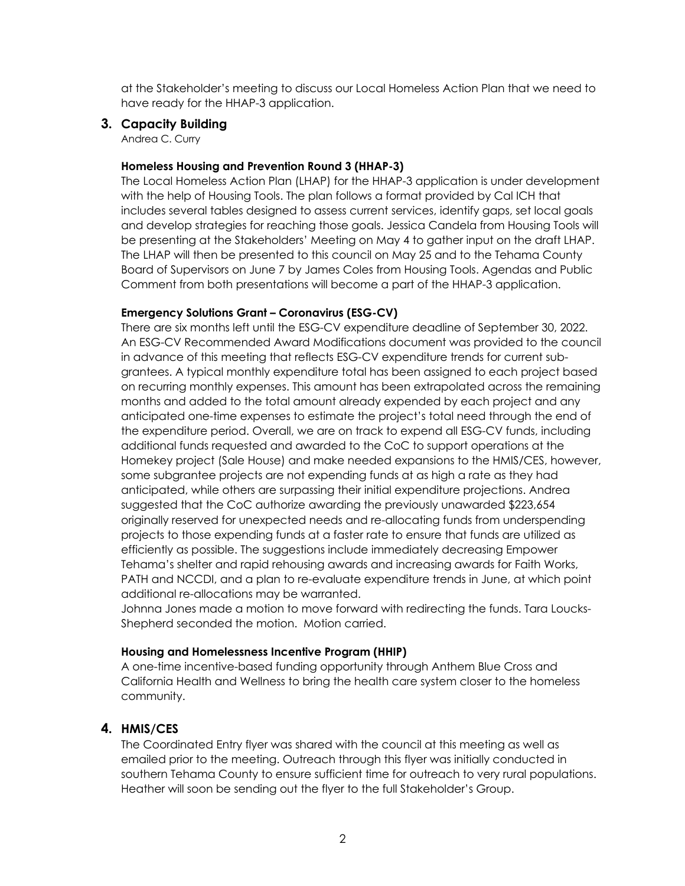at the Stakeholder's meeting to discuss our Local Homeless Action Plan that we need to have ready for the HHAP-3 application.

#### **3. Capacity Building**

Andrea C. Curry

### **Homeless Housing and Prevention Round 3 (HHAP-3)**

The Local Homeless Action Plan (LHAP) for the HHAP-3 application is under development with the help of Housing Tools. The plan follows a format provided by Cal ICH that includes several tables designed to assess current services, identify gaps, set local goals and develop strategies for reaching those goals. Jessica Candela from Housing Tools will be presenting at the Stakeholders' Meeting on May 4 to gather input on the draft LHAP. The LHAP will then be presented to this council on May 25 and to the Tehama County Board of Supervisors on June 7 by James Coles from Housing Tools. Agendas and Public Comment from both presentations will become a part of the HHAP-3 application.

#### **Emergency Solutions Grant – Coronavirus (ESG-CV)**

There are six months left until the ESG-CV expenditure deadline of September 30, 2022. An ESG-CV Recommended Award Modifications document was provided to the council in advance of this meeting that reflects ESG-CV expenditure trends for current subgrantees. A typical monthly expenditure total has been assigned to each project based on recurring monthly expenses. This amount has been extrapolated across the remaining months and added to the total amount already expended by each project and any anticipated one-time expenses to estimate the project's total need through the end of the expenditure period. Overall, we are on track to expend all ESG-CV funds, including additional funds requested and awarded to the CoC to support operations at the Homekey project (Sale House) and make needed expansions to the HMIS/CES, however, some subgrantee projects are not expending funds at as high a rate as they had anticipated, while others are surpassing their initial expenditure projections. Andrea suggested that the CoC authorize awarding the previously unawarded \$223,654 originally reserved for unexpected needs and re-allocating funds from underspending projects to those expending funds at a faster rate to ensure that funds are utilized as efficiently as possible. The suggestions include immediately decreasing Empower Tehama's shelter and rapid rehousing awards and increasing awards for Faith Works, PATH and NCCDI, and a plan to re-evaluate expenditure trends in June, at which point additional re-allocations may be warranted.

Johnna Jones made a motion to move forward with redirecting the funds. Tara Loucks-Shepherd seconded the motion. Motion carried.

#### **Housing and Homelessness Incentive Program (HHIP)**

A one-time incentive-based funding opportunity through Anthem Blue Cross and California Health and Wellness to bring the health care system closer to the homeless community.

## **4. HMIS/CES**

The Coordinated Entry flyer was shared with the council at this meeting as well as emailed prior to the meeting. Outreach through this flyer was initially conducted in southern Tehama County to ensure sufficient time for outreach to very rural populations. Heather will soon be sending out the flyer to the full Stakeholder's Group.